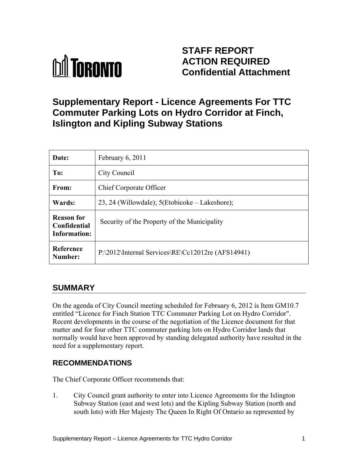

## **STAFF REPORT ACTION REQUIRED Confidential Attachment**

## **Supplementary Report - Licence Agreements For TTC Commuter Parking Lots on Hydro Corridor at Finch, Islington and Kipling Subway Stations**

| Date:                                             | February 6, 2011                                  |
|---------------------------------------------------|---------------------------------------------------|
| To:                                               | City Council                                      |
| From:                                             | <b>Chief Corporate Officer</b>                    |
| Wards:                                            | 23, 24 (Willowdale); 5(Etobicoke – Lakeshore);    |
| <b>Reason for</b><br>Confidential<br>Information: | Security of the Property of the Municipality      |
| <b>Reference</b><br>Number:                       | P:\2012\Internal Services\RE\Cc12012re (AFS14941) |

### **SUMMARY**

On the agenda of City Council meeting scheduled for February 6, 2012 is Item GM10.7 entitled "Licence for Finch Station TTC Commuter Parking Lot on Hydro Corridor". Recent developments in the course of the negotiation of the Licence document for that matter and for four other TTC commuter parking lots on Hydro Corridor lands that normally would have been approved by standing delegated authority have resulted in the need for a supplementary report.

### **RECOMMENDATIONS**

The Chief Corporate Officer recommends that:

1. City Council grant authority to enter into Licence Agreements for the Islington Subway Station (east and west lots) and the Kipling Subway Station (north and south lots) with Her Majesty The Queen In Right Of Ontario as represented by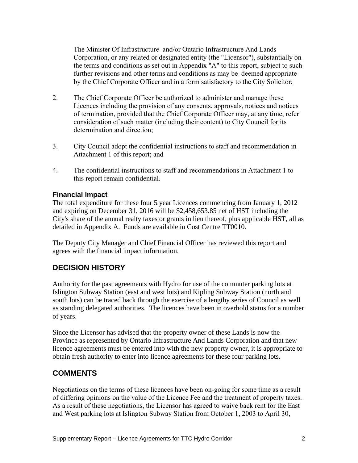The Minister Of Infrastructure and/or Ontario Infrastructure And Lands Corporation, or any related or designated entity (the "Licensor"), substantially on the terms and conditions as set out in Appendix "A" to this report, subject to such further revisions and other terms and conditions as may be deemed appropriate by the Chief Corporate Officer and in a form satisfactory to the City Solicitor;

- 2. The Chief Corporate Officer be authorized to administer and manage these Licences including the provision of any consents, approvals, notices and notices of termination, provided that the Chief Corporate Officer may, at any time, refer consideration of such matter (including their content) to City Council for its determination and direction;
- 3. City Council adopt the confidential instructions to staff and recommendation in Attachment 1 of this report; and
- 4. The confidential instructions to staff and recommendations in Attachment 1 to this report remain confidential.

#### **Financial Impact**

The total expenditure for these four 5 year Licences commencing from January 1, 2012 and expiring on December 31, 2016 will be \$2,458,653.85 net of HST including the City's share of the annual realty taxes or grants in lieu thereof, plus applicable HST, all as detailed in Appendix A. Funds are available in Cost Centre TT0010.

The Deputy City Manager and Chief Financial Officer has reviewed this report and agrees with the financial impact information.

### **DECISION HISTORY**

Authority for the past agreements with Hydro for use of the commuter parking lots at Islington Subway Station (east and west lots) and Kipling Subway Station (north and south lots) can be traced back through the exercise of a lengthy series of Council as well as standing delegated authorities. The licences have been in overhold status for a number of years.

Since the Licensor has advised that the property owner of these Lands is now the Province as represented by Ontario Infrastructure And Lands Corporation and that new licence agreements must be entered into with the new property owner, it is appropriate to obtain fresh authority to enter into licence agreements for these four parking lots.

#### **COMMENTS**

Negotiations on the terms of these licences have been on-going for some time as a result of differing opinions on the value of the Licence Fee and the treatment of property taxes. As a result of these negotiations, the Licensor has agreed to waive back rent for the East and West parking lots at Islington Subway Station from October 1, 2003 to April 30,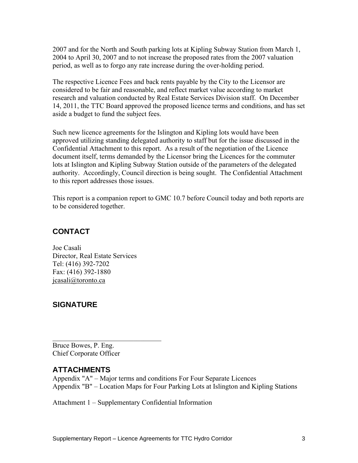2007 and for the North and South parking lots at Kipling Subway Station from March 1, 2004 to April 30, 2007 and to not increase the proposed rates from the 2007 valuation period, as well as to forgo any rate increase during the over-holding period.

The respective Licence Fees and back rents payable by the City to the Licensor are considered to be fair and reasonable, and reflect market value according to market research and valuation conducted by Real Estate Services Division staff. On December 14, 2011, the TTC Board approved the proposed licence terms and conditions, and has set aside a budget to fund the subject fees.

Such new licence agreements for the Islington and Kipling lots would have been approved utilizing standing delegated authority to staff but for the issue discussed in the Confidential Attachment to this report. As a result of the negotiation of the Licence document itself, terms demanded by the Licensor bring the Licences for the commuter lots at Islington and Kipling Subway Station outside of the parameters of the delegated authority. Accordingly, Council direction is being sought. The Confidential Attachment to this report addresses those issues.

This report is a companion report to GMC 10.7 before Council today and both reports are to be considered together.

### **CONTACT**

Joe Casali Director, Real Estate Services Tel: (416) 392-7202 Fax: (416) 392-1880 jcasali@toronto.ca

### **SIGNATURE**

Bruce Bowes, P. Eng. Chief Corporate Officer

 $\mathcal{L}_\text{max}$  , where  $\mathcal{L}_\text{max}$  and  $\mathcal{L}_\text{max}$  and  $\mathcal{L}_\text{max}$ 

### **ATTACHMENTS**

Appendix "A" – Major terms and conditions For Four Separate Licences Appendix "B" – Location Maps for Four Parking Lots at Islington and Kipling Stations

Attachment 1 – Supplementary Confidential Information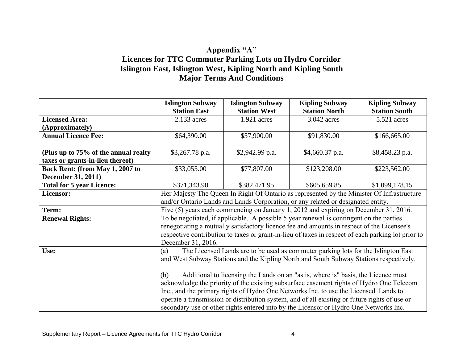### **Appendix "A" Licences for TTC Commuter Parking Lots on Hydro Corridor Islington East, Islington West, Kipling North and Kipling South Major Terms And Conditions**

|                                      | <b>Islington Subway</b>                                                                    | <b>Islington Subway</b> | <b>Kipling Subway</b>                                                                              | <b>Kipling Subway</b> |
|--------------------------------------|--------------------------------------------------------------------------------------------|-------------------------|----------------------------------------------------------------------------------------------------|-----------------------|
|                                      | <b>Station East</b>                                                                        | <b>Station West</b>     | <b>Station North</b>                                                                               | <b>Station South</b>  |
| <b>Licensed Area:</b>                | 2.133 acres                                                                                | $1.921$ acres           | 3.042 acres                                                                                        | 5.521 acres           |
| (Approximately)                      |                                                                                            |                         |                                                                                                    |                       |
| <b>Annual Licence Fee:</b>           | \$64,390.00                                                                                | \$57,900.00             | \$91,830.00                                                                                        | \$166,665.00          |
|                                      |                                                                                            |                         |                                                                                                    |                       |
| (Plus up to 75% of the annual realty | $$3,267.78$ p.a.                                                                           | \$2,942.99 p.a.         | $$4,660.37$ p.a.                                                                                   | \$8,458.23 p.a.       |
| taxes or grants-in-lieu thereof)     |                                                                                            |                         |                                                                                                    |                       |
| Back Rent: (from May 1, 2007 to      | \$33,055.00                                                                                | \$77,807.00             | \$123,208.00                                                                                       | \$223,562.00          |
| <b>December 31, 2011)</b>            |                                                                                            |                         |                                                                                                    |                       |
| <b>Total for 5 year Licence:</b>     | \$371,343.90                                                                               | \$382,471.95            | \$605,659.85                                                                                       | \$1,099,178.15        |
| Licensor:                            | Her Majesty The Queen In Right Of Ontario as represented by the Minister Of Infrastructure |                         |                                                                                                    |                       |
|                                      |                                                                                            |                         | and/or Ontario Lands and Lands Corporation, or any related or designated entity.                   |                       |
| Term:                                |                                                                                            |                         | Five (5) years each commencing on January 1, 2012 and expiring on December 31, 2016.               |                       |
| <b>Renewal Rights:</b>               |                                                                                            |                         | To be negotiated, if applicable. A possible 5 year renewal is contingent on the parties            |                       |
|                                      |                                                                                            |                         | renegotiating a mutually satisfactory licence fee and amounts in respect of the Licensee's         |                       |
|                                      |                                                                                            |                         | respective contribution to taxes or grant-in-lieu of taxes in respect of each parking lot prior to |                       |
|                                      | December 31, 2016.                                                                         |                         |                                                                                                    |                       |
| Use:                                 | The Licensed Lands are to be used as commuter parking lots for the Islington East<br>(a)   |                         |                                                                                                    |                       |
|                                      |                                                                                            |                         | and West Subway Stations and the Kipling North and South Subway Stations respectively.             |                       |
|                                      |                                                                                            |                         |                                                                                                    |                       |
|                                      | (b)                                                                                        |                         | Additional to licensing the Lands on an "as is, where is" basis, the Licence must                  |                       |
|                                      |                                                                                            |                         | acknowledge the priority of the existing subsurface easement rights of Hydro One Telecom           |                       |
|                                      |                                                                                            |                         | Inc., and the primary rights of Hydro One Networks Inc. to use the Licensed Lands to               |                       |
|                                      |                                                                                            |                         | operate a transmission or distribution system, and of all existing or future rights of use or      |                       |
|                                      |                                                                                            |                         | secondary use or other rights entered into by the Licensor or Hydro One Networks Inc.              |                       |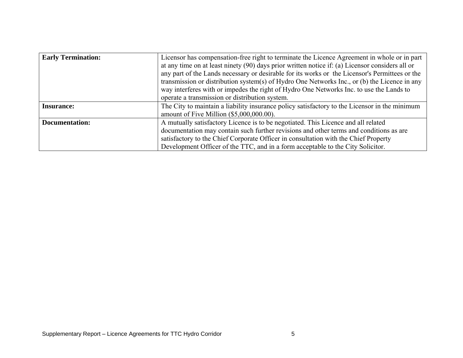| <b>Early Termination:</b> | Licensor has compensation-free right to terminate the Licence Agreement in whole or in part     |
|---------------------------|-------------------------------------------------------------------------------------------------|
|                           | at any time on at least ninety (90) days prior written notice if: (a) Licensor considers all or |
|                           | any part of the Lands necessary or desirable for its works or the Licensor's Permittees or the  |
|                           | transmission or distribution system(s) of Hydro One Networks Inc., or (b) the Licence in any    |
|                           | way interferes with or impedes the right of Hydro One Networks Inc. to use the Lands to         |
|                           | operate a transmission or distribution system.                                                  |
| <b>Insurance:</b>         | The City to maintain a liability insurance policy satisfactory to the Licensor in the minimum   |
|                           | amount of Five Million $(\$5,000,000.00)$ .                                                     |
| <b>Documentation:</b>     | A mutually satisfactory Licence is to be negotiated. This Licence and all related               |
|                           | documentation may contain such further revisions and other terms and conditions as are          |
|                           | satisfactory to the Chief Corporate Officer in consultation with the Chief Property             |
|                           | Development Officer of the TTC, and in a form acceptable to the City Solicitor.                 |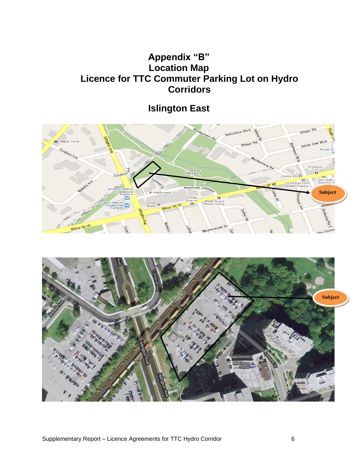## **Appendix "B" Location Map Licence for TTC Commuter Parking Lot on Hydro Corridors**

# **Islington East**



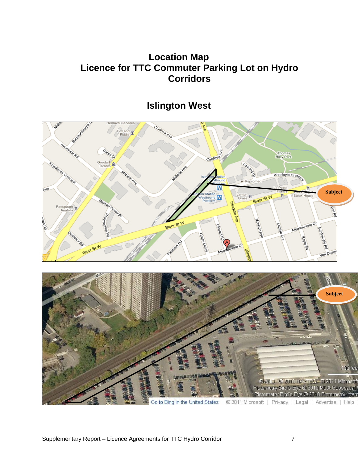## **Location Map Licence for TTC Commuter Parking Lot on Hydro Corridors**

## **Islington West**



Go to Bing in the United States

© 2011 Microsoft | Privacy | Legal | Advertise |

@AND @2010 NAVTEO @ 2011 Microsoft Pictometry Bird's Eye @ 2010 MDA Geospatial Pictometry Bird's Eye @ 2010 Pictometry Interr

Help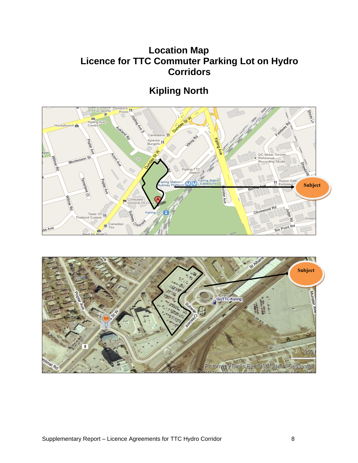## **Location Map Licence for TTC Commuter Parking Lot on Hydro Corridors**

# **Kipling North**